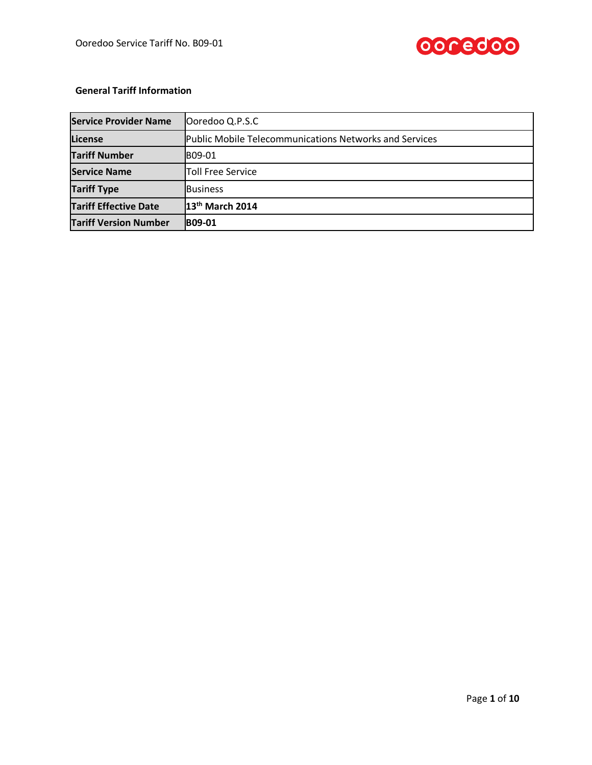

## **General Tariff Information**

| <b>Service Provider Name</b> | Ooredoo Q.P.S.C                                               |  |  |
|------------------------------|---------------------------------------------------------------|--|--|
| License                      | <b>Public Mobile Telecommunications Networks and Services</b> |  |  |
| <b>Tariff Number</b>         | IB09-01                                                       |  |  |
| <b>Service Name</b>          | <b>Toll Free Service</b>                                      |  |  |
| <b>Tariff Type</b>           | <b>Business</b>                                               |  |  |
| <b>Tariff Effective Date</b> | 13 <sup>th</sup> March 2014                                   |  |  |
| <b>Tariff Version Number</b> | <b>B09-01</b>                                                 |  |  |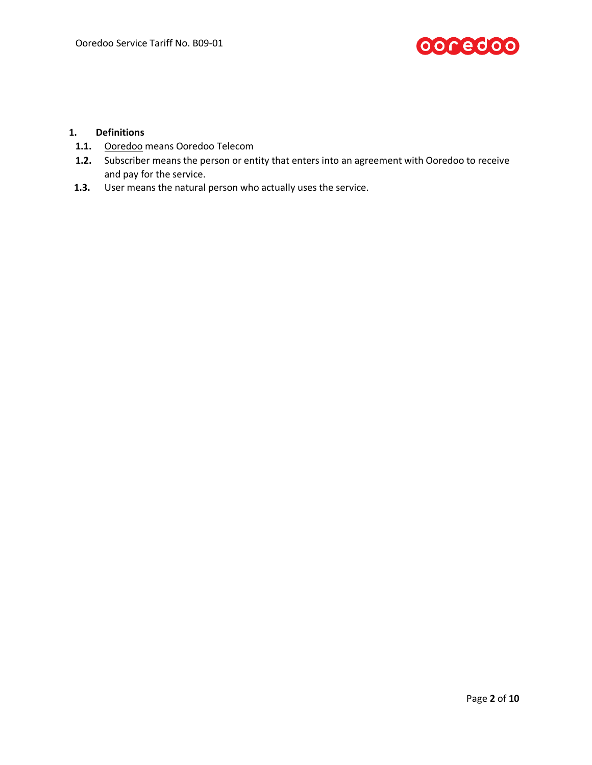

### **1. Definitions**

- **1.1.** Ooredoo means Ooredoo Telecom
- **1.2.** Subscriber means the person or entity that enters into an agreement with Ooredoo to receive and pay for the service.
- **1.3.** User means the natural person who actually uses the service.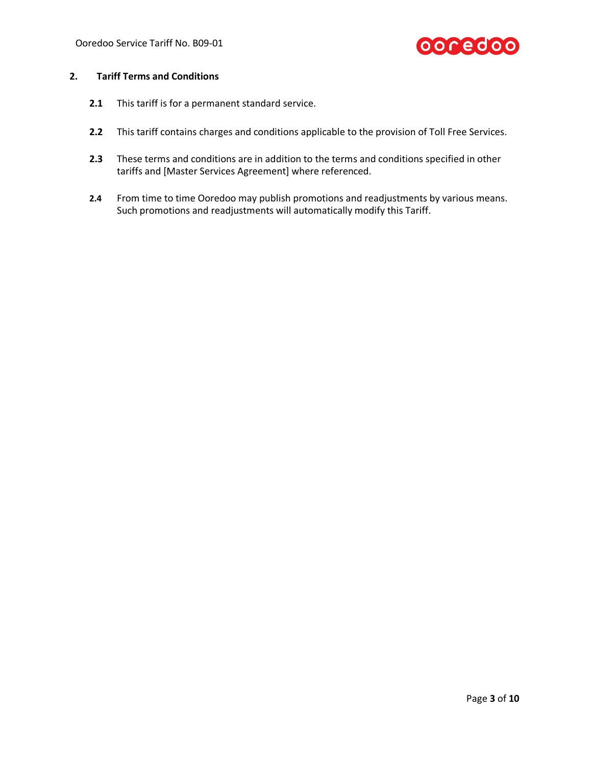

## **2. Tariff Terms and Conditions**

- **2.1** This tariff is for a permanent standard service.
- **2.2** This tariff contains charges and conditions applicable to the provision of Toll Free Services.
- **2.3** These terms and conditions are in addition to the terms and conditions specified in other tariffs and [Master Services Agreement] where referenced.
- **2.4** From time to time Ooredoo may publish promotions and readjustments by various means. Such promotions and readjustments will automatically modify this Tariff.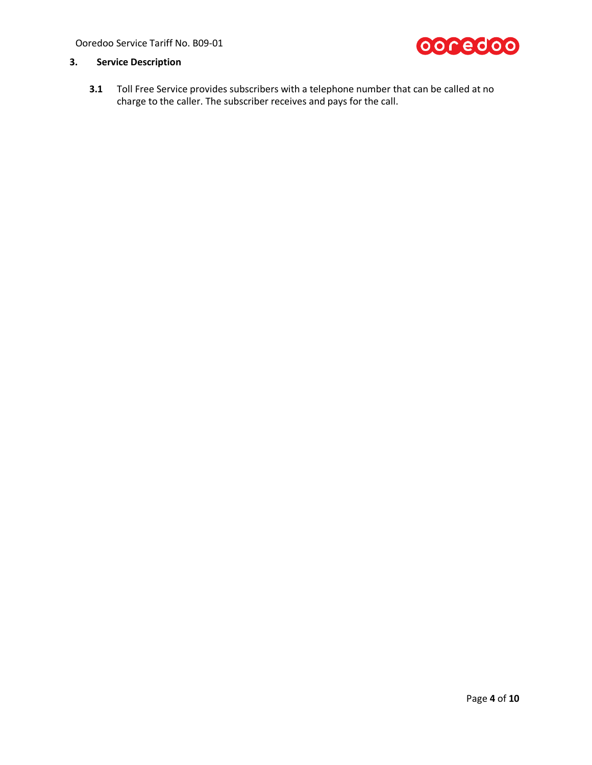Ooredoo Service Tariff No. B09-01



## **3. Service Description**

**3.1** Toll Free Service provides subscribers with a telephone number that can be called at no charge to the caller. The subscriber receives and pays for the call.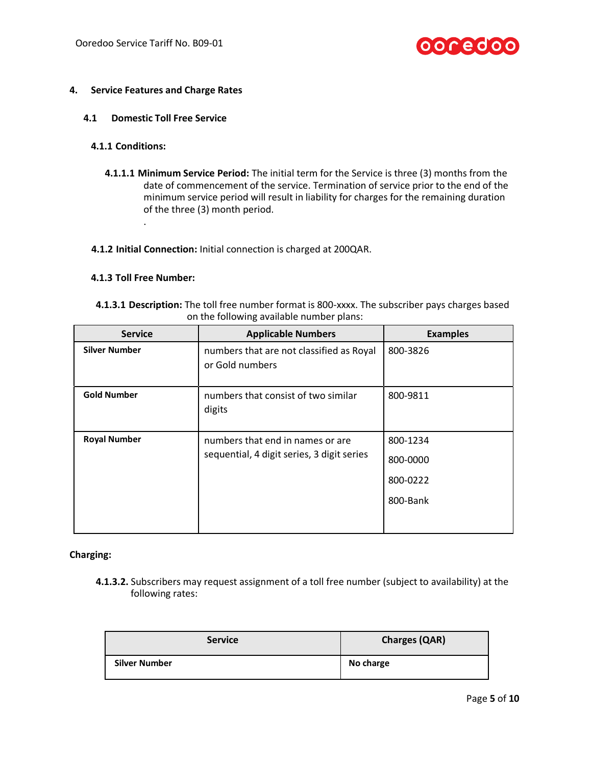

## **4. Service Features and Charge Rates**

#### **4.1 Domestic Toll Free Service**

#### **4.1.1 Conditions:**

**4.1.1.1 Minimum Service Period:** The initial term for the Service is three (3) months from the date of commencement of the service. Termination of service prior to the end of the minimum service period will result in liability for charges for the remaining duration of the three (3) month period.

#### **4.1.2 Initial Connection:** Initial connection is charged at 200QAR.

#### **4.1.3 Toll Free Number:**

.

| 4.1.3.1 Description: The toll free number format is 800-xxxx. The subscriber pays charges based |  |
|-------------------------------------------------------------------------------------------------|--|
| on the following available number plans:                                                        |  |

| <b>Service</b>       | <b>Applicable Numbers</b>                                                      | <b>Examples</b> |
|----------------------|--------------------------------------------------------------------------------|-----------------|
| <b>Silver Number</b> | numbers that are not classified as Royal<br>or Gold numbers                    | 800-3826        |
| <b>Gold Number</b>   | numbers that consist of two similar<br>digits                                  | 800-9811        |
| <b>Royal Number</b>  | numbers that end in names or are<br>sequential, 4 digit series, 3 digit series | 800-1234        |
|                      |                                                                                | 800-0000        |
|                      |                                                                                | 800-0222        |
|                      |                                                                                | 800-Bank        |
|                      |                                                                                |                 |

#### **Charging:**

**4.1.3.2.** Subscribers may request assignment of a toll free number (subject to availability) at the following rates:

| <b>Service</b>       | <b>Charges (QAR)</b> |  |
|----------------------|----------------------|--|
| <b>Silver Number</b> | No charge            |  |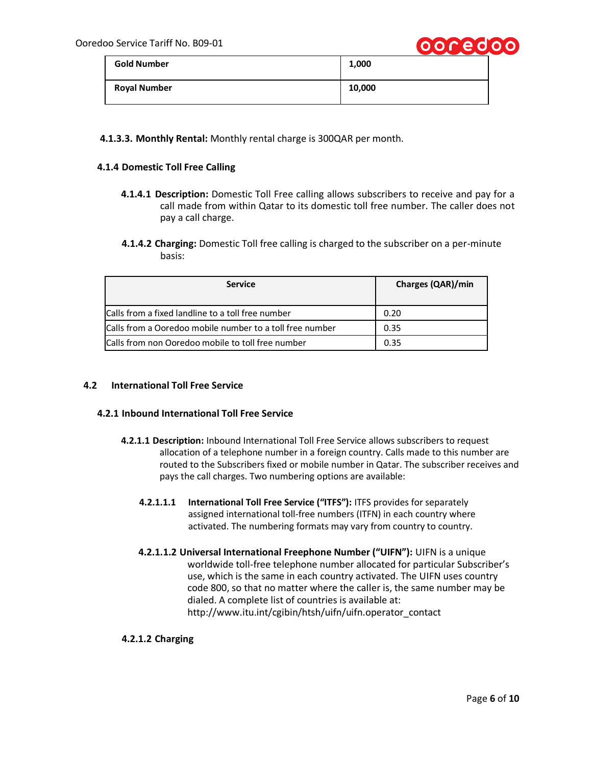

|                     | .      |
|---------------------|--------|
| <b>Gold Number</b>  | 1,000  |
| <b>Royal Number</b> | 10,000 |

## **4.1.3.3. Monthly Rental:** Monthly rental charge is 300QAR per month.

#### **4.1.4 Domestic Toll Free Calling**

- **4.1.4.1 Description:** Domestic Toll Free calling allows subscribers to receive and pay for a call made from within Qatar to its domestic toll free number. The caller does not pay a call charge.
- **4.1.4.2 Charging:** Domestic Toll free calling is charged to the subscriber on a per-minute basis:

| <b>Service</b>                                           | <b>Charges (QAR)/min</b> |
|----------------------------------------------------------|--------------------------|
| Calls from a fixed landline to a toll free number        | 0.20                     |
| Calls from a Ooredoo mobile number to a toll free number | 0.35                     |
| Calls from non Ooredoo mobile to toll free number        | 0.35                     |

#### **4.2 International Toll Free Service**

#### **4.2.1 Inbound International Toll Free Service**

- **4.2.1.1 Description:** Inbound International Toll Free Service allows subscribers to request allocation of a telephone number in a foreign country. Calls made to this number are routed to the Subscribers fixed or mobile number in Qatar. The subscriber receives and pays the call charges. Two numbering options are available:
	- **4.2.1.1.1 International Toll Free Service ("ITFS"):** ITFS provides for separately assigned international toll-free numbers (ITFN) in each country where activated. The numbering formats may vary from country to country.
	- **4.2.1.1.2 Universal International Freephone Number ("UIFN"):** UIFN is a unique worldwide toll-free telephone number allocated for particular Subscriber's use, which is the same in each country activated. The UIFN uses country code 800, so that no matter where the caller is, the same number may be dialed. A complete list of countries is available at: http://www.itu.int/cgibin/htsh/uifn/uifn.operator\_contact

#### **4.2.1.2 Charging**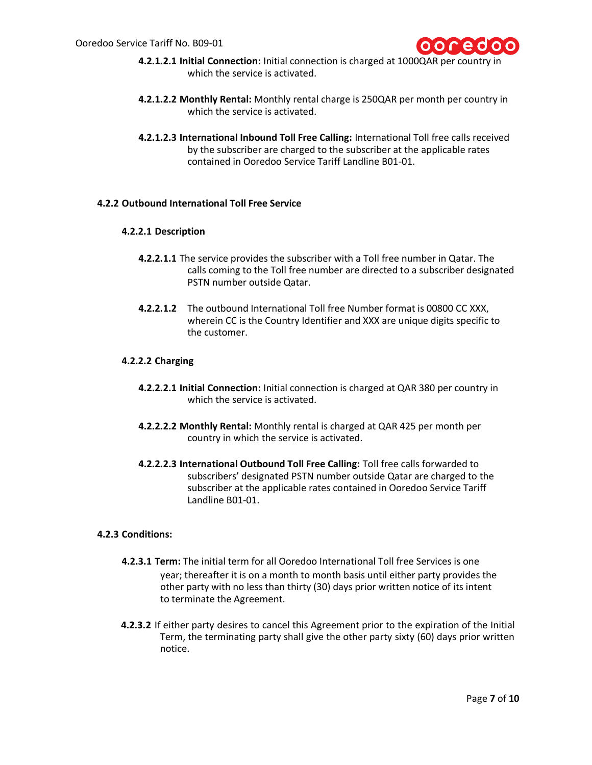

- **4.2.1.2.1 Initial Connection:** Initial connection is charged at 1000QAR per country in which the service is activated.
- **4.2.1.2.2 Monthly Rental:** Monthly rental charge is 250QAR per month per country in which the service is activated.
- **4.2.1.2.3 International Inbound Toll Free Calling:** International Toll free calls received by the subscriber are charged to the subscriber at the applicable rates contained in Ooredoo Service Tariff Landline B01-01.

### **4.2.2 Outbound International Toll Free Service**

#### **4.2.2.1 Description**

- **4.2.2.1.1** The service provides the subscriber with a Toll free number in Qatar. The calls coming to the Toll free number are directed to a subscriber designated PSTN number outside Qatar.
- **4.2.2.1.2** The outbound International Toll free Number format is 00800 CC XXX, wherein CC is the Country Identifier and XXX are unique digits specific to the customer.

### **4.2.2.2 Charging**

- **4.2.2.2.1 Initial Connection:** Initial connection is charged at QAR 380 per country in which the service is activated.
- **4.2.2.2.2 Monthly Rental:** Monthly rental is charged at QAR 425 per month per country in which the service is activated.
- **4.2.2.2.3 International Outbound Toll Free Calling:** Toll free calls forwarded to subscribers' designated PSTN number outside Qatar are charged to the subscriber at the applicable rates contained in Ooredoo Service Tariff Landline B01-01.

#### **4.2.3 Conditions:**

- **4.2.3.1 Term:** The initial term for all Ooredoo International Toll free Services is one year; thereafter it is on a month to month basis until either party provides the other party with no less than thirty (30) days prior written notice of its intent to terminate the Agreement.
- **4.2.3.2** If either party desires to cancel this Agreement prior to the expiration of the Initial Term, the terminating party shall give the other party sixty (60) days prior written notice.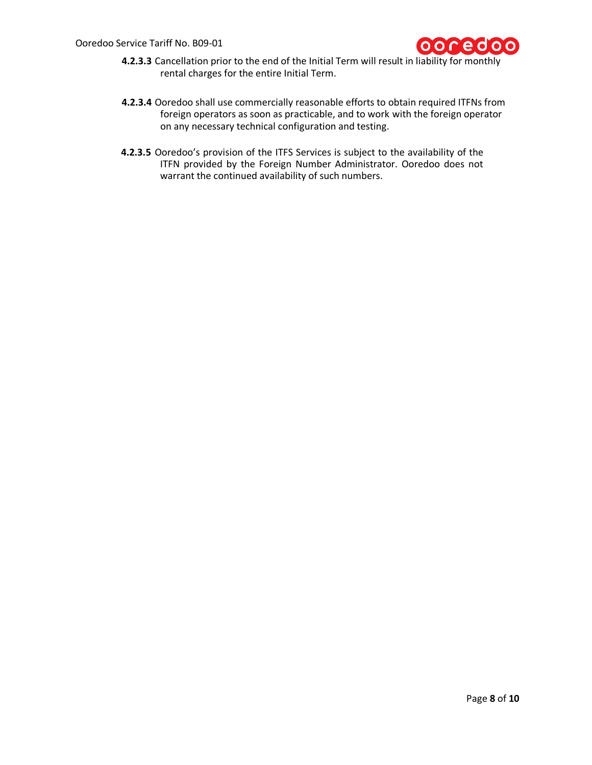

- **4.2.3.3** Cancellation prior to the end of the Initial Term will result in liability for monthly rental charges for the entire Initial Term.
- **4.2.3.4** Ooredoo shall use commercially reasonable efforts to obtain required ITFNs from foreign operators as soon as practicable, and to work with the foreign operator on any necessary technical configuration and testing.
- **4.2.3.5** Ooredoo's provision of the ITFS Services is subject to the availability of the ITFN provided by the Foreign Number Administrator. Ooredoo does not warrant the continued availability of such numbers.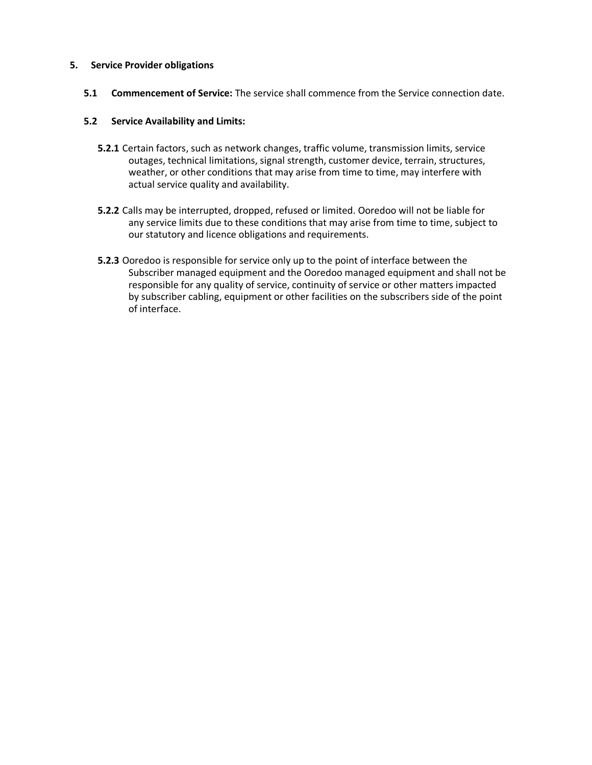### **5. Service Provider obligations**

**5.1 Commencement of Service:** The service shall commence from the Service connection date.

## **5.2 Service Availability and Limits:**

- **5.2.1** Certain factors, such as network changes, traffic volume, transmission limits, service outages, technical limitations, signal strength, customer device, terrain, structures, weather, or other conditions that may arise from time to time, may interfere with actual service quality and availability.
- **5.2.2** Calls may be interrupted, dropped, refused or limited. Ooredoo will not be liable for any service limits due to these conditions that may arise from time to time, subject to our statutory and licence obligations and requirements.
- **5.2.3** Ooredoo is responsible for service only up to the point of interface between the Subscriber managed equipment and the Ooredoo managed equipment and shall not be responsible for any quality of service, continuity of service or other matters impacted by subscriber cabling, equipment or other facilities on the subscribers side of the point of interface.